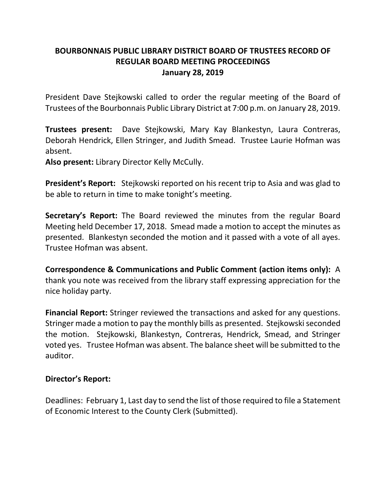## **BOURBONNAIS PUBLIC LIBRARY DISTRICT BOARD OF TRUSTEES RECORD OF REGULAR BOARD MEETING PROCEEDINGS January 28, 2019**

President Dave Stejkowski called to order the regular meeting of the Board of Trustees of the Bourbonnais Public Library District at 7:00 p.m. on January 28, 2019.

**Trustees present:** Dave Stejkowski, Mary Kay Blankestyn, Laura Contreras, Deborah Hendrick, Ellen Stringer, and Judith Smead. Trustee Laurie Hofman was absent.

**Also present:** Library Director Kelly McCully.

**President's Report:** Stejkowski reported on his recent trip to Asia and was glad to be able to return in time to make tonight's meeting.

**Secretary's Report:** The Board reviewed the minutes from the regular Board Meeting held December 17, 2018. Smead made a motion to accept the minutes as presented. Blankestyn seconded the motion and it passed with a vote of all ayes. Trustee Hofman was absent.

**Correspondence & Communications and Public Comment (action items only):** A thank you note was received from the library staff expressing appreciation for the nice holiday party.

**Financial Report:** Stringer reviewed the transactions and asked for any questions. Stringer made a motion to pay the monthly bills as presented. Stejkowski seconded the motion. Stejkowski, Blankestyn, Contreras, Hendrick, Smead, and Stringer voted yes. Trustee Hofman was absent. The balance sheet will be submitted to the auditor.

## **Director's Report:**

Deadlines: February 1, Last day to send the list of those required to file a Statement of Economic Interest to the County Clerk (Submitted).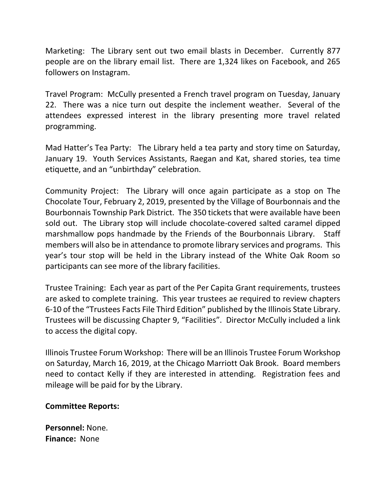Marketing: The Library sent out two email blasts in December. Currently 877 people are on the library email list. There are 1,324 likes on Facebook, and 265 followers on Instagram.

Travel Program: McCully presented a French travel program on Tuesday, January 22. There was a nice turn out despite the inclement weather. Several of the attendees expressed interest in the library presenting more travel related programming.

Mad Hatter's Tea Party: The Library held a tea party and story time on Saturday, January 19. Youth Services Assistants, Raegan and Kat, shared stories, tea time etiquette, and an "unbirthday" celebration.

Community Project: The Library will once again participate as a stop on The Chocolate Tour, February 2, 2019, presented by the Village of Bourbonnais and the Bourbonnais Township Park District. The 350 tickets that were available have been sold out. The Library stop will include chocolate-covered salted caramel dipped marshmallow pops handmade by the Friends of the Bourbonnais Library. Staff members will also be in attendance to promote library services and programs. This year's tour stop will be held in the Library instead of the White Oak Room so participants can see more of the library facilities.

Trustee Training: Each year as part of the Per Capita Grant requirements, trustees are asked to complete training. This year trustees ae required to review chapters 6-10 of the "Trustees Facts File Third Edition" published by the Illinois State Library. Trustees will be discussing Chapter 9, "Facilities". Director McCully included a link to access the digital copy.

Illinois Trustee Forum Workshop: There will be an Illinois Trustee Forum Workshop on Saturday, March 16, 2019, at the Chicago Marriott Oak Brook. Board members need to contact Kelly if they are interested in attending. Registration fees and mileage will be paid for by the Library.

## **Committee Reports:**

**Personnel:** None. **Finance:** None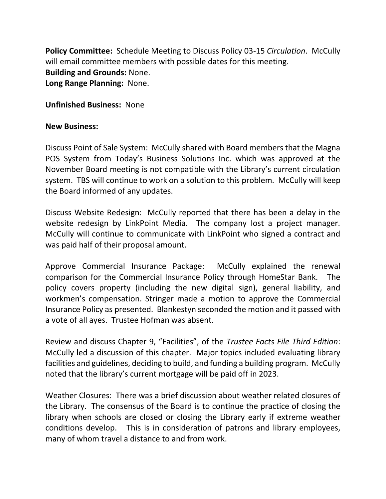**Policy Committee:** Schedule Meeting to Discuss Policy 03-15 *Circulation*. McCully will email committee members with possible dates for this meeting. **Building and Grounds:** None. **Long Range Planning:** None.

**Unfinished Business:** None

## **New Business:**

Discuss Point of Sale System: McCully shared with Board members that the Magna POS System from Today's Business Solutions Inc. which was approved at the November Board meeting is not compatible with the Library's current circulation system. TBS will continue to work on a solution to this problem. McCully will keep the Board informed of any updates.

Discuss Website Redesign: McCully reported that there has been a delay in the website redesign by LinkPoint Media. The company lost a project manager. McCully will continue to communicate with LinkPoint who signed a contract and was paid half of their proposal amount.

Approve Commercial Insurance Package: McCully explained the renewal comparison for the Commercial Insurance Policy through HomeStar Bank. The policy covers property (including the new digital sign), general liability, and workmen's compensation. Stringer made a motion to approve the Commercial Insurance Policy as presented. Blankestyn seconded the motion and it passed with a vote of all ayes. Trustee Hofman was absent.

Review and discuss Chapter 9, "Facilities", of the *Trustee Facts File Third Edition*: McCully led a discussion of this chapter. Major topics included evaluating library facilities and guidelines, deciding to build, and funding a building program. McCully noted that the library's current mortgage will be paid off in 2023.

Weather Closures: There was a brief discussion about weather related closures of the Library. The consensus of the Board is to continue the practice of closing the library when schools are closed or closing the Library early if extreme weather conditions develop. This is in consideration of patrons and library employees, many of whom travel a distance to and from work.